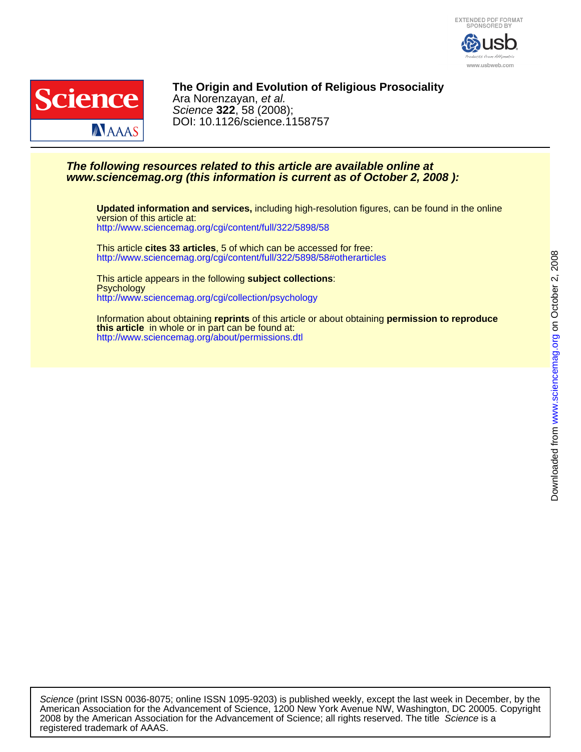



## DOI: 10.1126/science.1158757 Science **322**, 58 (2008); Ara Norenzayan, et al. **The Origin and Evolution of Religious Prosociality**

## **www.sciencemag.org (this information is current as of October 2, 2008 ): The following resources related to this article are available online at**

<http://www.sciencemag.org/cgi/content/full/322/5898/58> version of this article at: **Updated information and services,** including high-resolution figures, can be found in the online

<http://www.sciencemag.org/cgi/content/full/322/5898/58#otherarticles> This article **cites 33 articles**, 5 of which can be accessed for free:

<http://www.sciencemag.org/cgi/collection/psychology> **Psychology** This article appears in the following **subject collections**:

<http://www.sciencemag.org/about/permissions.dtl> **this article** in whole or in part can be found at: Information about obtaining **reprints** of this article or about obtaining **permission to reproduce**

registered trademark of AAAS. 2008 by the American Association for the Advancement of Science; all rights reserved. The title Science is a American Association for the Advancement of Science, 1200 New York Avenue NW, Washington, DC 20005. Copyright Science (print ISSN 0036-8075; online ISSN 1095-9203) is published weekly, except the last week in December, by the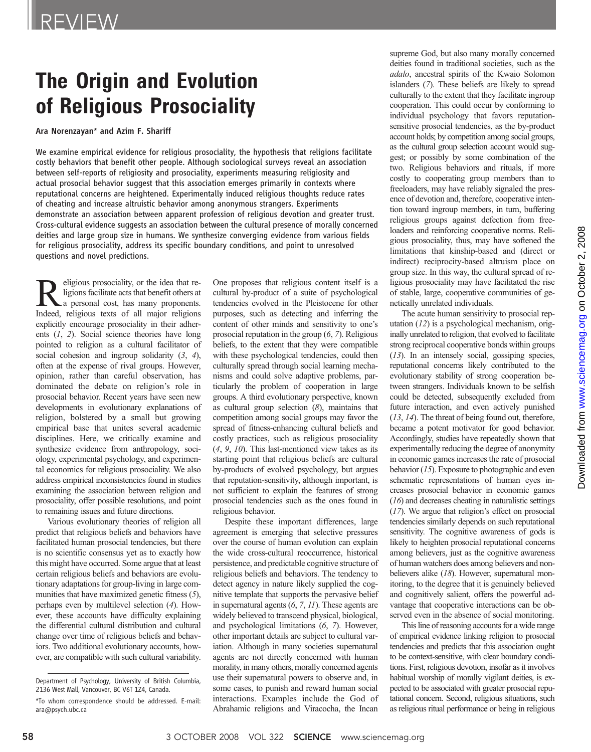# The Origin and Evolution of Religious Prosociality

Ara Norenzayan\* and Azim F. Shariff

We examine empirical evidence for religious prosociality, the hypothesis that religions facilitate costly behaviors that benefit other people. Although sociological surveys reveal an association between self-reports of religiosity and prosociality, experiments measuring religiosity and actual prosocial behavior suggest that this association emerges primarily in contexts where reputational concerns are heightened. Experimentally induced religious thoughts reduce rates of cheating and increase altruistic behavior among anonymous strangers. Experiments demonstrate an association between apparent profession of religious devotion and greater trust. Cross-cultural evidence suggests an association between the cultural presence of morally concerned deities and large group size in humans. We synthesize converging evidence from various fields for religious prosociality, address its specific boundary conditions, and point to unresolved questions and novel predictions.

Religious prosociality, or the idea that re-<br>ligions facilitate acts that benefit others at<br>a personal cost, has many proponents.<br>Indeed religious texts of all major religions ligions facilitate acts that benefit others at a personal cost, has many proponents. Indeed, religious texts of all major religions explicitly encourage prosociality in their adherents (1, 2). Social science theories have long pointed to religion as a cultural facilitator of social cohesion and ingroup solidarity  $(3, 4)$ , often at the expense of rival groups. However, opinion, rather than careful observation, has dominated the debate on religion's role in prosocial behavior. Recent years have seen new developments in evolutionary explanations of religion, bolstered by a small but growing empirical base that unites several academic disciplines. Here, we critically examine and synthesize evidence from anthropology, sociology, experimental psychology, and experimental economics for religious prosociality. We also address empirical inconsistencies found in studies examining the association between religion and prosociality, offer possible resolutions, and point to remaining issues and future directions.

Various evolutionary theories of religion all predict that religious beliefs and behaviors have facilitated human prosocial tendencies, but there is no scientific consensus yet as to exactly how this might have occurred. Some argue that at least certain religious beliefs and behaviors are evolutionary adaptations for group-living in large communities that have maximized genetic fitness (5), perhaps even by multilevel selection (4). However, these accounts have difficulty explaining the differential cultural distribution and cultural change over time of religious beliefs and behaviors. Two additional evolutionary accounts, however, are compatible with such cultural variability.

One proposes that religious content itself is a cultural by-product of a suite of psychological tendencies evolved in the Pleistocene for other purposes, such as detecting and inferring the content of other minds and sensitivity to one's prosocial reputation in the group (6, 7). Religious beliefs, to the extent that they were compatible with these psychological tendencies, could then culturally spread through social learning mechanisms and could solve adaptive problems, particularly the problem of cooperation in large groups. A third evolutionary perspective, known as cultural group selection  $(8)$ , maintains that competition among social groups may favor the spread of fitness-enhancing cultural beliefs and costly practices, such as religious prosociality (4, 9, 10). This last-mentioned view takes as its starting point that religious beliefs are cultural by-products of evolved psychology, but argues that reputation-sensitivity, although important, is not sufficient to explain the features of strong prosocial tendencies such as the ones found in religious behavior.

Despite these important differences, large agreement is emerging that selective pressures over the course of human evolution can explain the wide cross-cultural reoccurrence, historical persistence, and predictable cognitive structure of religious beliefs and behaviors. The tendency to detect agency in nature likely supplied the cognitive template that supports the pervasive belief in supernatural agents (6, 7, 11). These agents are widely believed to transcend physical, biological, and psychological limitations (6, 7). However, other important details are subject to cultural variation. Although in many societies supernatural agents are not directly concerned with human morality, in many others, morally concerned agents use their supernatural powers to observe and, in some cases, to punish and reward human social interactions. Examples include the God of Abrahamic religions and Viracocha, the Incan

supreme God, but also many morally concerned deities found in traditional societies, such as the adalo, ancestral spirits of the Kwaio Solomon islanders (7). These beliefs are likely to spread culturally to the extent that they facilitate ingroup cooperation. This could occur by conforming to individual psychology that favors reputationsensitive prosocial tendencies, as the by-product account holds; by competition among social groups, as the cultural group selection account would suggest; or possibly by some combination of the two. Religious behaviors and rituals, if more costly to cooperating group members than to freeloaders, may have reliably signaled the presence of devotion and, therefore, cooperative intention toward ingroup members, in turn, buffering religious groups against defection from freeloaders and reinforcing cooperative norms. Religious prosociality, thus, may have softened the limitations that kinship-based and (direct or indirect) reciprocity-based altruism place on group size. In this way, the cultural spread of religious prosociality may have facilitated the rise of stable, large, cooperative communities of genetically unrelated individuals.

The acute human sensitivity to prosocial reputation (12) is a psychological mechanism, originally unrelated to religion, that evolved to facilitate strong reciprocal cooperative bonds within groups (13). In an intensely social, gossiping species, reputational concerns likely contributed to the evolutionary stability of strong cooperation between strangers. Individuals known to be selfish could be detected, subsequently excluded from future interaction, and even actively punished (13, 14). The threat of being found out, therefore, became a potent motivator for good behavior. Accordingly, studies have repeatedly shown that experimentally reducing the degree of anonymity in economic games increases the rate of prosocial behavior  $(15)$ . Exposure to photographic and even schematic representations of human eyes increases prosocial behavior in economic games (16) and decreases cheating in naturalistic settings (17). We argue that religion's effect on prosocial tendencies similarly depends on such reputational sensitivity. The cognitive awareness of gods is likely to heighten prosocial reputational concerns among believers, just as the cognitive awareness of human watchers does among believers and nonbelievers alike (18). However, supernatural monitoring, to the degree that it is genuinely believed and cognitively salient, offers the powerful advantage that cooperative interactions can be observed even in the absence of social monitoring.

This line of reasoning accounts for a wide range of empirical evidence linking religion to prosocial tendencies and predicts that this association ought to be context-sensitive, with clear boundary conditions. First, religious devotion, insofar as it involves habitual worship of morally vigilant deities, is expected to be associated with greater prosocial reputational concern. Second, religious situations, such as religious ritual performance or being in religious

Department of Psychology, University of British Columbia, 2136 West Mall, Vancouver, BC V6T 1Z4, Canada.

<sup>\*</sup>To whom correspondence should be addressed. E-mail: ara@psych.ubc.ca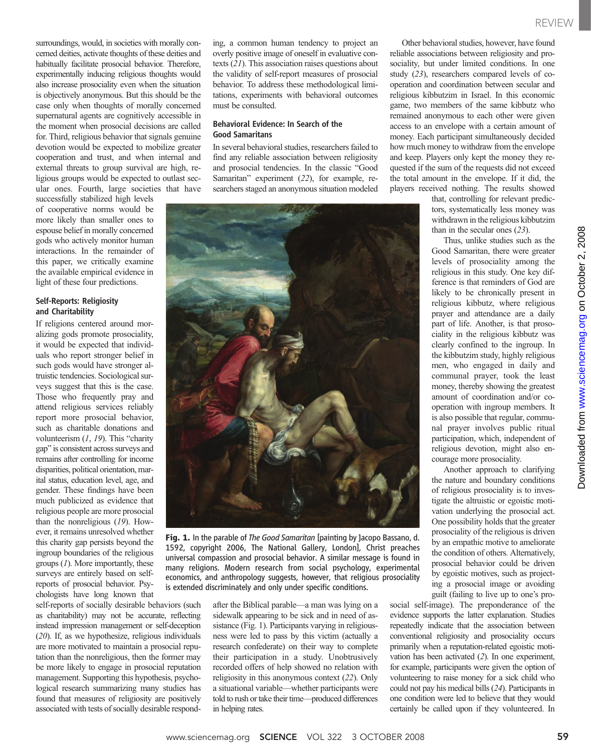surroundings, would, in societies with morally concerned deities, activate thoughts of these deities and habitually facilitate prosocial behavior. Therefore, experimentally inducing religious thoughts would also increase prosociality even when the situation is objectively anonymous. But this should be the case only when thoughts of morally concerned supernatural agents are cognitively accessible in the moment when prosocial decisions are called for. Third, religious behavior that signals genuine devotion would be expected to mobilize greater cooperation and trust, and when internal and external threats to group survival are high, religious groups would be expected to outlast secular ones. Fourth, large societies that have

successfully stabilized high levels of cooperative norms would be more likely than smaller ones to espouse belief in morally concerned gods who actively monitor human interactions. In the remainder of this paper, we critically examine the available empirical evidence in light of these four predictions.

#### Self-Reports: Religiosity and Charitability

If religions centered around moralizing gods promote prosociality, it would be expected that individuals who report stronger belief in such gods would have stronger altruistic tendencies. Sociological surveys suggest that this is the case. Those who frequently pray and attend religious services reliably report more prosocial behavior, such as charitable donations and volunteerism (1, 19). This "charity gap" is consistent across surveys and remains after controlling for income disparities, political orientation, marital status, education level, age, and gender. These findings have been much publicized as evidence that religious people are more prosocial than the nonreligious (19). However, it remains unresolved whether this charity gap persists beyond the ingroup boundaries of the religious groups (1). More importantly, these surveys are entirely based on selfreports of prosocial behavior. Psychologists have long known that

self-reports of socially desirable behaviors (such as charitability) may not be accurate, reflecting instead impression management or self-deception (20). If, as we hypothesize, religious individuals are more motivated to maintain a prosocial reputation than the nonreligious, then the former may be more likely to engage in prosocial reputation management. Supporting this hypothesis, psychological research summarizing many studies has found that measures of religiosity are positively associated with tests of socially desirable responding, a common human tendency to project an overly positive image of oneself in evaluative contexts (21). This association raises questions about the validity of self-report measures of prosocial behavior. To address these methodological limitations, experiments with behavioral outcomes must be consulted.

#### Behavioral Evidence: In Search of the Good Samaritans

In several behavioral studies, researchers failed to find any reliable association between religiosity and prosocial tendencies. In the classic "Good Samaritan" experiment (22), for example, researchers staged an anonymous situation modeled



Fig. 1. In the parable of The Good Samaritan [painting by Jacopo Bassano, d. 1592, copyright 2006, The National Gallery, London], Christ preaches universal compassion and prosocial behavior. A similar message is found in many religions. Modern research from social psychology, experimental economics, and anthropology suggests, however, that religious prosociality is extended discriminately and only under specific conditions.

after the Biblical parable—a man was lying on a sidewalk appearing to be sick and in need of assistance (Fig. 1). Participants varying in religiousness were led to pass by this victim (actually a research confederate) on their way to complete their participation in a study. Unobtrusively recorded offers of help showed no relation with religiosity in this anonymous context (22). Only a situational variable—whether participants were told to rush or take their time—produced differences in helping rates.

Other behavioral studies, however, have found reliable associations between religiosity and prosociality, but under limited conditions. In one study (23), researchers compared levels of cooperation and coordination between secular and religious kibbutzim in Israel. In this economic game, two members of the same kibbutz who remained anonymous to each other were given access to an envelope with a certain amount of money. Each participant simultaneously decided how much money to withdraw from the envelope and keep. Players only kept the money they requested if the sum of the requests did not exceed the total amount in the envelope. If it did, the players received nothing. The results showed

> that, controlling for relevant predictors, systematically less money was withdrawn in the religious kibbutzim than in the secular ones (23).

Thus, unlike studies such as the Good Samaritan, there were greater levels of prosociality among the religious in this study. One key difference is that reminders of God are likely to be chronically present in religious kibbutz, where religious prayer and attendance are a daily part of life. Another, is that prosociality in the religious kibbutz was clearly confined to the ingroup. In the kibbutzim study, highly religious men, who engaged in daily and communal prayer, took the least money, thereby showing the greatest amount of coordination and/or cooperation with ingroup members. It is also possible that regular, communal prayer involves public ritual participation, which, independent of religious devotion, might also encourage more prosociality.

Another approach to clarifying the nature and boundary conditions of religious prosociality is to investigate the altruistic or egoistic motivation underlying the prosocial act. One possibility holds that the greater prosociality of the religious is driven by an empathic motive to ameliorate the condition of others. Alternatively, prosocial behavior could be driven by egoistic motives, such as projecting a prosocial image or avoiding guilt (failing to live up to one's pro-

social self-image). The preponderance of the evidence supports the latter explanation. Studies repeatedly indicate that the association between conventional religiosity and prosociality occurs primarily when a reputation-related egoistic motivation has been activated (2). In one experiment, for example, participants were given the option of volunteering to raise money for a sick child who could not pay his medical bills (24). Participants in one condition were led to believe that they would certainly be called upon if they volunteered. In

REVIEW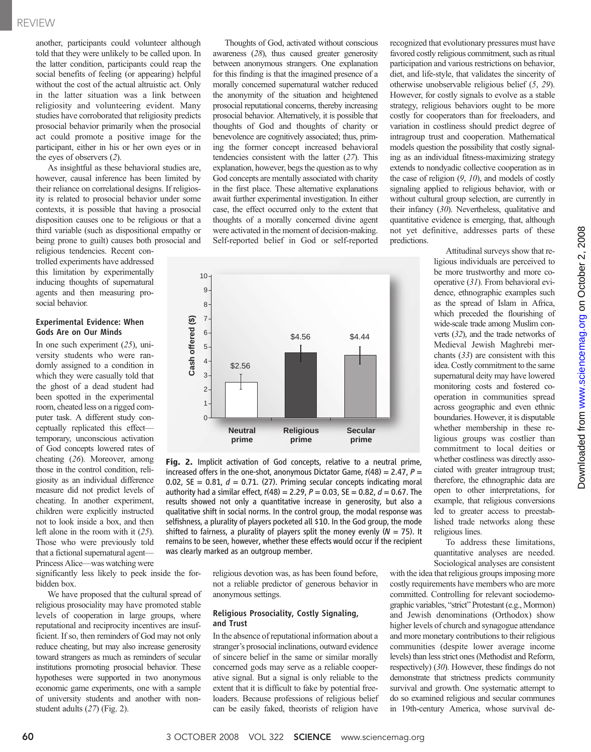another, participants could volunteer although told that they were unlikely to be called upon. In the latter condition, participants could reap the social benefits of feeling (or appearing) helpful without the cost of the actual altruistic act. Only in the latter situation was a link between religiosity and volunteering evident. Many studies have corroborated that religiosity predicts prosocial behavior primarily when the prosocial act could promote a positive image for the participant, either in his or her own eyes or in the eyes of observers (2).

As insightful as these behavioral studies are, however, causal inference has been limited by their reliance on correlational designs. If religiosity is related to prosocial behavior under some contexts, it is possible that having a prosocial disposition causes one to be religious or that a third variable (such as dispositional empathy or being prone to guilt) causes both prosocial and

religious tendencies. Recent controlled experiments have addressed this limitation by experimentally inducing thoughts of supernatural agents and then measuring prosocial behavior.

#### Experimental Evidence: When Gods Are on Our Minds

In one such experiment (25), university students who were randomly assigned to a condition in which they were casually told that the ghost of a dead student had been spotted in the experimental room, cheated less on a rigged computer task. A different study conceptually replicated this effect temporary, unconscious activation of God concepts lowered rates of cheating (26). Moreover, among those in the control condition, religiosity as an individual difference measure did not predict levels of cheating. In another experiment, children were explicitly instructed not to look inside a box, and then left alone in the room with it (25). Those who were previously told that a fictional supernatural agent— Princess Alice—was watching were

significantly less likely to peek inside the forbidden box.

We have proposed that the cultural spread of religious prosociality may have promoted stable levels of cooperation in large groups, where reputational and reciprocity incentives are insufficient. If so, then reminders of God may not only reduce cheating, but may also increase generosity toward strangers as much as reminders of secular institutions promoting prosocial behavior. These hypotheses were supported in two anonymous economic game experiments, one with a sample of university students and another with nonstudent adults (27) (Fig. 2).

Thoughts of God, activated without conscious awareness (28), thus caused greater generosity between anonymous strangers. One explanation for this finding is that the imagined presence of a morally concerned supernatural watcher reduced the anonymity of the situation and heightened prosocial reputational concerns, thereby increasing prosocial behavior. Alternatively, it is possible that thoughts of God and thoughts of charity or benevolence are cognitively associated; thus, priming the former concept increased behavioral tendencies consistent with the latter (27). This explanation, however, begs the question as to why God concepts are mentally associated with charity in the first place. These alternative explanations await further experimental investigation. In either case, the effect occurred only to the extent that thoughts of a morally concerned divine agent were activated in the moment of decision-making. Self-reported belief in God or self-reported



Fig. 2. Implicit activation of God concepts, relative to a neutral prime, increased offers in the one-shot, anonymous Dictator Game,  $t(48) = 2.47$ ,  $P =$ 0.02, SE = 0.81,  $d = 0.71$ . (27). Priming secular concepts indicating moral authority had a similar effect,  $t(48) = 2.29$ ,  $P = 0.03$ ,  $SE = 0.82$ ,  $d = 0.67$ . The results showed not only a quantitative increase in generosity, but also a qualitative shift in social norms. In the control group, the modal response was selfishness, a plurality of players pocketed all \$10. In the God group, the mode shifted to fairness, a plurality of players split the money evenly ( $N = 75$ ). It remains to be seen, however, whether these effects would occur if the recipient was clearly marked as an outgroup member.

religious devotion was, as has been found before, not a reliable predictor of generous behavior in anonymous settings.

#### Religious Prosociality, Costly Signaling, and Trust

In the absence of reputational information about a stranger's prosocial inclinations, outward evidence of sincere belief in the same or similar morally concerned gods may serve as a reliable cooperative signal. But a signal is only reliable to the extent that it is difficult to fake by potential freeloaders. Because professions of religious belief can be easily faked, theorists of religion have

recognized that evolutionary pressures must have favored costly religious commitment, such as ritual participation and various restrictions on behavior, diet, and life-style, that validates the sincerity of otherwise unobservable religious belief (5, 29). However, for costly signals to evolve as a stable strategy, religious behaviors ought to be more costly for cooperators than for freeloaders, and variation in costliness should predict degree of intragroup trust and cooperation. Mathematical models question the possibility that costly signaling as an individual fitness-maximizing strategy extends to nondyadic collective cooperation as in the case of religion  $(9, 10)$ , and models of costly signaling applied to religious behavior, with or without cultural group selection, are currently in their infancy (30). Nevertheless, qualitative and quantitative evidence is emerging, that, although not yet definitive, addresses parts of these predictions.

Attitudinal surveys show that religious individuals are perceived to be more trustworthy and more cooperative (31). From behavioral evidence, ethnographic examples such as the spread of Islam in Africa, which preceded the flourishing of wide-scale trade among Muslim converts (32), and the trade networks of Medieval Jewish Maghrebi merchants (33) are consistent with this idea. Costly commitment to the same supernatural deity may have lowered monitoring costs and fostered cooperation in communities spread across geographic and even ethnic boundaries. However, it is disputable whether membership in these religious groups was costlier than commitment to local deities or whether costliness was directly associated with greater intragroup trust; therefore, the ethnographic data are open to other interpretations, for example, that religious conversions led to greater access to preestablished trade networks along these religious lines.

To address these limitations, quantitative analyses are needed. Sociological analyses are consistent

with the idea that religious groups imposing more costly requirements have members who are more committed. Controlling for relevant sociodemographic variables, "strict" Protestant (e.g., Mormon) and Jewish denominations (Orthodox) show higher levels of church and synagogue attendance and more monetary contributions to their religious communities (despite lower average income levels) than less strict ones (Methodist and Reform, respectively) (30). However, these findings do not demonstrate that strictness predicts community survival and growth. One systematic attempt to do so examined religious and secular communes in 19th-century America, whose survival de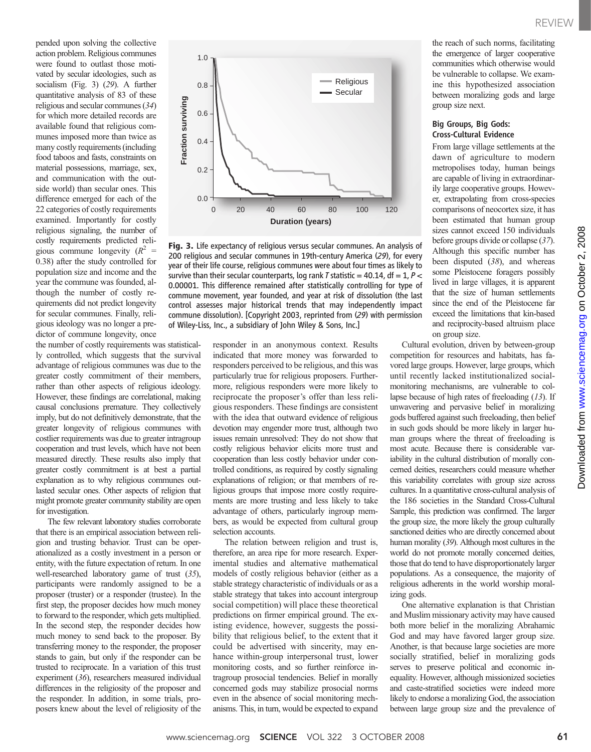pended upon solving the collective action problem. Religious communes were found to outlast those motivated by secular ideologies, such as socialism (Fig. 3) (29). A further quantitative analysis of 83 of these religious and secular communes (34) for which more detailed records are available found that religious communes imposed more than twice as many costly requirements (including food taboos and fasts, constraints on material possessions, marriage, sex, and communication with the outside world) than secular ones. This difference emerged for each of the 22 categories of costly requirements examined. Importantly for costly religious signaling, the number of costly requirements predicted religious commune longevity  $(R^2 =$ 0.38) after the study controlled for population size and income and the year the commune was founded, although the number of costly requirements did not predict longevity for secular communes. Finally, religious ideology was no longer a predictor of commune longevity, once

the number of costly requirements was statistically controlled, which suggests that the survival advantage of religious communes was due to the greater costly commitment of their members, rather than other aspects of religious ideology. However, these findings are correlational, making causal conclusions premature. They collectively imply, but do not definitively demonstrate, that the greater longevity of religious communes with costlier requirements was due to greater intragroup cooperation and trust levels, which have not been measured directly. These results also imply that greater costly commitment is at best a partial explanation as to why religious communes outlasted secular ones. Other aspects of religion that might promote greater community stability are open for investigation.

The few relevant laboratory studies corroborate that there is an empirical association between religion and trusting behavior. Trust can be operationalized as a costly investment in a person or entity, with the future expectation of return. In one well-researched laboratory game of trust (35), participants were randomly assigned to be a proposer (truster) or a responder (trustee). In the first step, the proposer decides how much money to forward to the responder, which gets multiplied. In the second step, the responder decides how much money to send back to the proposer. By transferring money to the responder, the proposer stands to gain, but only if the responder can be trusted to reciprocate. In a variation of this trust experiment (36), researchers measured individual differences in the religiosity of the proposer and the responder. In addition, in some trials, proposers knew about the level of religiosity of the



Fig. 3. Life expectancy of religious versus secular communes. An analysis of 200 religious and secular communes in 19th-century America (29), for every year of their life course, religious communes were about four times as likely to survive than their secular counterparts, log rank T statistic = 40.14, df = 1, P < 0.00001. This difference remained after statistically controlling for type of commune movement, year founded, and year at risk of dissolution (the last control assesses major historical trends that may independently impact commune dissolution). [Copyright 2003, reprinted from (29) with permission of Wiley-Liss, Inc., a subsidiary of John Wiley & Sons, Inc.]

responder in an anonymous context. Results indicated that more money was forwarded to responders perceived to be religious, and this was particularly true for religious proposers. Furthermore, religious responders were more likely to reciprocate the proposer's offer than less religious responders. These findings are consistent with the idea that outward evidence of religious devotion may engender more trust, although two issues remain unresolved: They do not show that costly religious behavior elicits more trust and cooperation than less costly behavior under controlled conditions, as required by costly signaling explanations of religion; or that members of religious groups that impose more costly requirements are more trusting and less likely to take advantage of others, particularly ingroup members, as would be expected from cultural group selection accounts.

The relation between religion and trust is, therefore, an area ripe for more research. Experimental studies and alternative mathematical models of costly religious behavior (either as a stable strategy characteristic of individuals or as a stable strategy that takes into account intergroup social competition) will place these theoretical predictions on firmer empirical ground. The existing evidence, however, suggests the possibility that religious belief, to the extent that it could be advertised with sincerity, may enhance within-group interpersonal trust, lower monitoring costs, and so further reinforce intragroup prosocial tendencies. Belief in morally concerned gods may stabilize prosocial norms even in the absence of social monitoring mechanisms. This, in turn, would be expected to expand

the reach of such norms, facilitating the emergence of larger cooperative communities which otherwise would be vulnerable to collapse. We examine this hypothesized association between moralizing gods and large group size next.

#### Big Groups, Big Gods: Cross-Cultural Evidence

From large village settlements at the dawn of agriculture to modern metropolises today, human beings are capable of living in extraordinarily large cooperative groups. However, extrapolating from cross-species comparisons of neocortex size, it has been estimated that human group sizes cannot exceed 150 individuals before groups divide or collapse (37). Although this specific number has been disputed (38), and whereas some Pleistocene foragers possibly lived in large villages, it is apparent that the size of human settlements since the end of the Pleistocene far exceed the limitations that kin-based and reciprocity-based altruism place on group size.

Cultural evolution, driven by between-group competition for resources and habitats, has favored large groups. However, large groups, which until recently lacked institutionalized socialmonitoring mechanisms, are vulnerable to collapse because of high rates of freeloading (13). If unwavering and pervasive belief in moralizing gods buffered against such freeloading, then belief in such gods should be more likely in larger human groups where the threat of freeloading is most acute. Because there is considerable variability in the cultural distribution of morally concerned deities, researchers could measure whether this variability correlates with group size across cultures. In a quantitative cross-cultural analysis of the 186 societies in the Standard Cross-Cultural Sample, this prediction was confirmed. The larger the group size, the more likely the group culturally sanctioned deities who are directly concerned about human morality (39). Although most cultures in the world do not promote morally concerned deities, those that do tend to have disproportionately larger populations. As a consequence, the majority of religious adherents in the world worship moralizing gods.

One alternative explanation is that Christian and Muslim missionary activity may have caused both more belief in the moralizing Abrahamic God and may have favored larger group size. Another, is that because large societies are more socially stratified, belief in moralizing gods serves to preserve political and economic inequality. However, although missionized societies and caste-stratified societies were indeed more likely to endorse a moralizing God, the association between large group size and the prevalence of